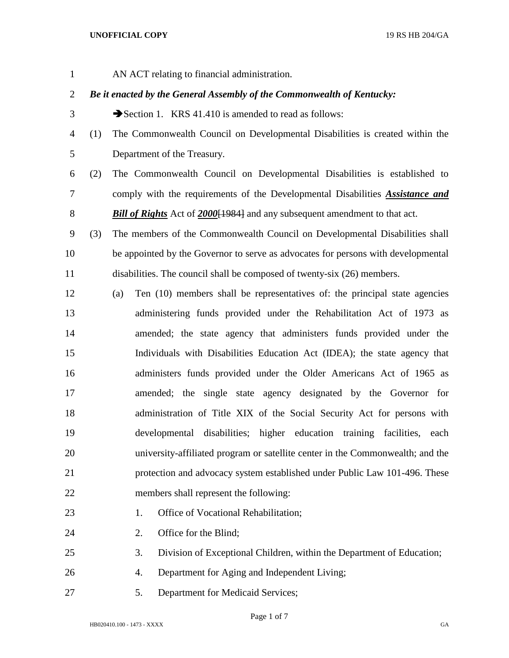## **UNOFFICIAL COPY** 19 RS HB 204/GA

AN ACT relating to financial administration.

## *Be it enacted by the General Assembly of the Commonwealth of Kentucky:*

- 3 Section 1. KRS 41.410 is amended to read as follows:
- (1) The Commonwealth Council on Developmental Disabilities is created within the Department of the Treasury.
- (2) The Commonwealth Council on Developmental Disabilities is established to comply with the requirements of the Developmental Disabilities *Assistance and Bill of Rights* Act of *2000*[1984] and any subsequent amendment to that act.
- (3) The members of the Commonwealth Council on Developmental Disabilities shall be appointed by the Governor to serve as advocates for persons with developmental disabilities. The council shall be composed of twenty-six (26) members.
- (a) Ten (10) members shall be representatives of: the principal state agencies administering funds provided under the Rehabilitation Act of 1973 as amended; the state agency that administers funds provided under the Individuals with Disabilities Education Act (IDEA); the state agency that administers funds provided under the Older Americans Act of 1965 as amended; the single state agency designated by the Governor for administration of Title XIX of the Social Security Act for persons with developmental disabilities; higher education training facilities, each university-affiliated program or satellite center in the Commonwealth; and the protection and advocacy system established under Public Law 101-496. These members shall represent the following:
- 23 1. Office of Vocational Rehabilitation;
	-
- 24 2. Office for the Blind;
- 3. Division of Exceptional Children, within the Department of Education;
- 4. Department for Aging and Independent Living;
- 5. Department for Medicaid Services;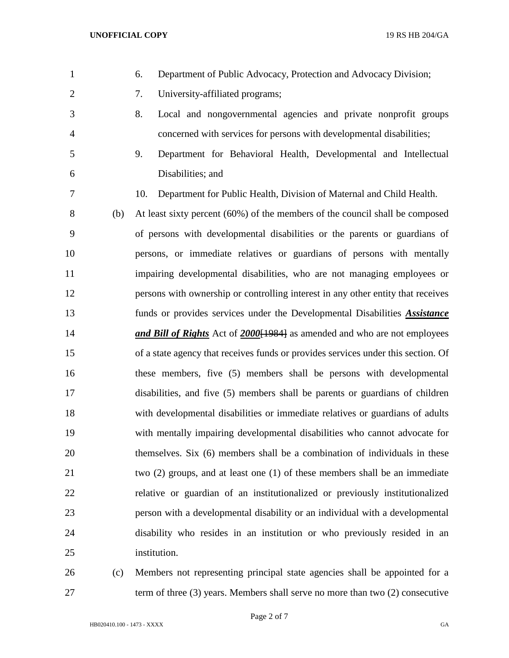- 6. Department of Public Advocacy, Protection and Advocacy Division; 7. University-affiliated programs; 8. Local and nongovernmental agencies and private nonprofit groups concerned with services for persons with developmental disabilities; 9. Department for Behavioral Health, Developmental and Intellectual Disabilities; and 10. Department for Public Health, Division of Maternal and Child Health. (b) At least sixty percent (60%) of the members of the council shall be composed of persons with developmental disabilities or the parents or guardians of persons, or immediate relatives or guardians of persons with mentally impairing developmental disabilities, who are not managing employees or persons with ownership or controlling interest in any other entity that receives funds or provides services under the Developmental Disabilities *Assistance and Bill of Rights* Act of *2000*[1984] as amended and who are not employees of a state agency that receives funds or provides services under this section. Of these members, five (5) members shall be persons with developmental disabilities, and five (5) members shall be parents or guardians of children with developmental disabilities or immediate relatives or guardians of adults with mentally impairing developmental disabilities who cannot advocate for themselves. Six (6) members shall be a combination of individuals in these two (2) groups, and at least one (1) of these members shall be an immediate relative or guardian of an institutionalized or previously institutionalized person with a developmental disability or an individual with a developmental disability who resides in an institution or who previously resided in an institution. (c) Members not representing principal state agencies shall be appointed for a
- term of three (3) years. Members shall serve no more than two (2) consecutive
	- HB020410.100 1473 XXXX GA

Page 2 of 7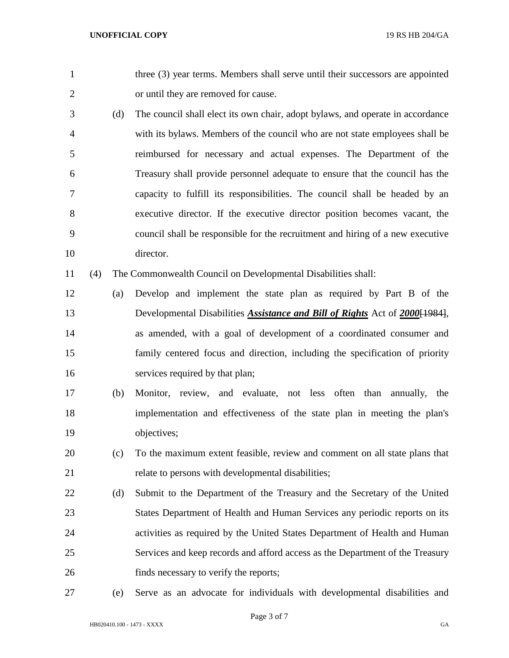1 three (3) year terms. Members shall serve until their successors are appointed or until they are removed for cause.

 (d) The council shall elect its own chair, adopt bylaws, and operate in accordance with its bylaws. Members of the council who are not state employees shall be reimbursed for necessary and actual expenses. The Department of the Treasury shall provide personnel adequate to ensure that the council has the capacity to fulfill its responsibilities. The council shall be headed by an executive director. If the executive director position becomes vacant, the council shall be responsible for the recruitment and hiring of a new executive director.

(4) The Commonwealth Council on Developmental Disabilities shall:

- (a) Develop and implement the state plan as required by Part B of the Developmental Disabilities *Assistance and Bill of Rights* Act of *2000*[1984], as amended, with a goal of development of a coordinated consumer and family centered focus and direction, including the specification of priority 16 services required by that plan;
- (b) Monitor, review, and evaluate, not less often than annually, the implementation and effectiveness of the state plan in meeting the plan's objectives;
- (c) To the maximum extent feasible, review and comment on all state plans that relate to persons with developmental disabilities;
- (d) Submit to the Department of the Treasury and the Secretary of the United States Department of Health and Human Services any periodic reports on its activities as required by the United States Department of Health and Human Services and keep records and afford access as the Department of the Treasury finds necessary to verify the reports;
- 

(e) Serve as an advocate for individuals with developmental disabilities and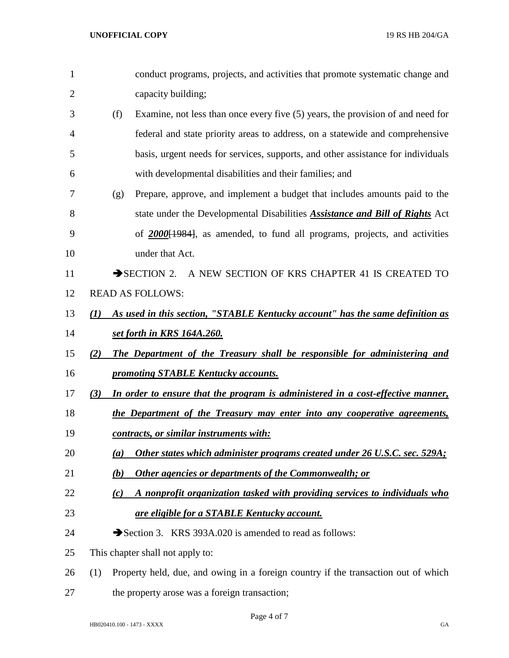| 1              |     | conduct programs, projects, and activities that promote systematic change and       |
|----------------|-----|-------------------------------------------------------------------------------------|
| $\overline{2}$ |     | capacity building;                                                                  |
| 3              | (f) | Examine, not less than once every five (5) years, the provision of and need for     |
| 4              |     | federal and state priority areas to address, on a statewide and comprehensive       |
| 5              |     | basis, urgent needs for services, supports, and other assistance for individuals    |
| 6              |     | with developmental disabilities and their families; and                             |
| 7              | (g) | Prepare, approve, and implement a budget that includes amounts paid to the          |
| 8              |     | state under the Developmental Disabilities <b>Assistance and Bill of Rights</b> Act |
| 9              |     | of 2000[1984], as amended, to fund all programs, projects, and activities           |
| 10             |     | under that Act.                                                                     |
| 11             |     | SECTION 2. A NEW SECTION OF KRS CHAPTER 41 IS CREATED TO                            |
| 12             |     | <b>READ AS FOLLOWS:</b>                                                             |
| 13             | (I) | As used in this section, "STABLE Kentucky account" has the same definition as       |
| 14             |     | <u>set forth in KRS 164A.260.</u>                                                   |
| 15             | (2) | The Department of the Treasury shall be responsible for administering and           |
| 16             |     | promoting STABLE Kentucky accounts.                                                 |
| 17             | (3) | In order to ensure that the program is administered in a cost-effective manner,     |
| 18             |     | the Department of the Treasury may enter into any cooperative agreements,           |
| 19             |     | <u>contracts, or similar instruments with:</u>                                      |
| 20             | (a) | Other states which administer programs created under 26 U.S.C. sec. 529A;           |
| 21             | (b) | <b>Other agencies or departments of the Commonwealth; or</b>                        |
| 22             | (c) | A nonprofit organization tasked with providing services to individuals who          |
| 23             |     | <b>are eligible for a STABLE Kentucky account.</b>                                  |
| 24             |     | Section 3. KRS 393A.020 is amended to read as follows:                              |
| 25             |     | This chapter shall not apply to:                                                    |
| 26             | (1) | Property held, due, and owing in a foreign country if the transaction out of which  |
| 27             |     | the property arose was a foreign transaction;                                       |

Page 4 of 7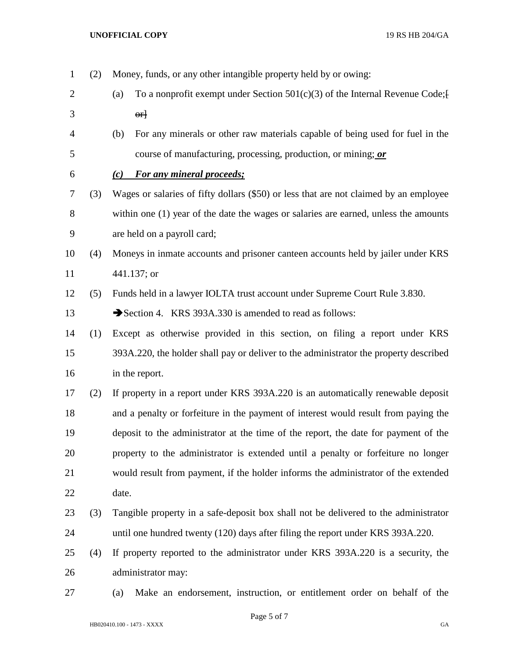(2) Money, funds, or any other intangible property held by or owing: 2 (a) To a nonprofit exempt under Section  $501(c)(3)$  of the Internal Revenue Code;  $3 \qquad \qquad \text{or}$  (b) For any minerals or other raw materials capable of being used for fuel in the course of manufacturing, processing, production, or mining; *or (c) For any mineral proceeds;* (3) Wages or salaries of fifty dollars (\$50) or less that are not claimed by an employee within one (1) year of the date the wages or salaries are earned, unless the amounts are held on a payroll card; (4) Moneys in inmate accounts and prisoner canteen accounts held by jailer under KRS 441.137; or (5) Funds held in a lawyer IOLTA trust account under Supreme Court Rule 3.830. 13 Section 4. KRS 393A.330 is amended to read as follows: (1) Except as otherwise provided in this section, on filing a report under KRS 393A.220, the holder shall pay or deliver to the administrator the property described in the report. (2) If property in a report under KRS 393A.220 is an automatically renewable deposit and a penalty or forfeiture in the payment of interest would result from paying the deposit to the administrator at the time of the report, the date for payment of the property to the administrator is extended until a penalty or forfeiture no longer would result from payment, if the holder informs the administrator of the extended date. (3) Tangible property in a safe-deposit box shall not be delivered to the administrator until one hundred twenty (120) days after filing the report under KRS 393A.220. (4) If property reported to the administrator under KRS 393A.220 is a security, the administrator may: (a) Make an endorsement, instruction, or entitlement order on behalf of the

Page 5 of 7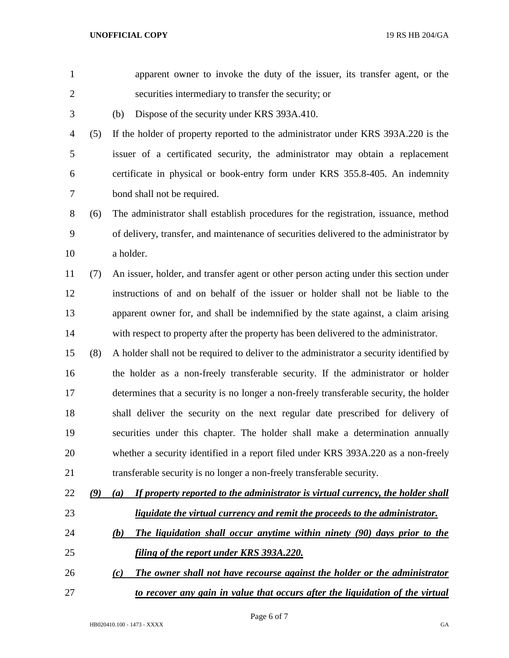**UNOFFICIAL COPY** 19 RS HB 204/GA

| $\mathbf{1}$   |               | apparent owner to invoke the duty of the issuer, its transfer agent, or the             |
|----------------|---------------|-----------------------------------------------------------------------------------------|
| $\mathbf{2}$   |               | securities intermediary to transfer the security; or                                    |
| $\mathfrak{Z}$ |               | Dispose of the security under KRS 393A.410.<br>(b)                                      |
| $\overline{4}$ | (5)           | If the holder of property reported to the administrator under KRS 393A.220 is the       |
| 5              |               | issuer of a certificated security, the administrator may obtain a replacement           |
| 6              |               | certificate in physical or book-entry form under KRS 355.8-405. An indemnity            |
| 7              |               | bond shall not be required.                                                             |
| $8\,$          | (6)           | The administrator shall establish procedures for the registration, issuance, method     |
| 9              |               | of delivery, transfer, and maintenance of securities delivered to the administrator by  |
| 10             |               | a holder.                                                                               |
| 11             | (7)           | An issuer, holder, and transfer agent or other person acting under this section under   |
| 12             |               | instructions of and on behalf of the issuer or holder shall not be liable to the        |
| 13             |               | apparent owner for, and shall be indemnified by the state against, a claim arising      |
| 14             |               | with respect to property after the property has been delivered to the administrator.    |
| 15             | (8)           | A holder shall not be required to deliver to the administrator a security identified by |
| 16             |               | the holder as a non-freely transferable security. If the administrator or holder        |
| 17             |               | determines that a security is no longer a non-freely transferable security, the holder  |
| 18             |               | shall deliver the security on the next regular date prescribed for delivery of          |
| 19             |               | securities under this chapter. The holder shall make a determination annually           |
| 20             |               | whether a security identified in a report filed under KRS 393A.220 as a non-freely      |
| 21             |               | transferable security is no longer a non-freely transferable security.                  |
| 22             | $\mathcal{Q}$ | If property reported to the administrator is virtual currency, the holder shall<br>(a)  |
| 23             |               | liquidate the virtual currency and remit the proceeds to the administrator.             |
| 24             |               | The liquidation shall occur anytime within ninety (90) days prior to the<br><u>(b)</u>  |
| 25             |               | <u>filing of the report under KRS 393A.220.</u>                                         |
| 26             |               | The owner shall not have recourse against the holder or the administrator<br>(c)        |
| 27             |               | to recover any gain in value that occurs after the liquidation of the virtual           |
|                |               |                                                                                         |

Page 6 of 7